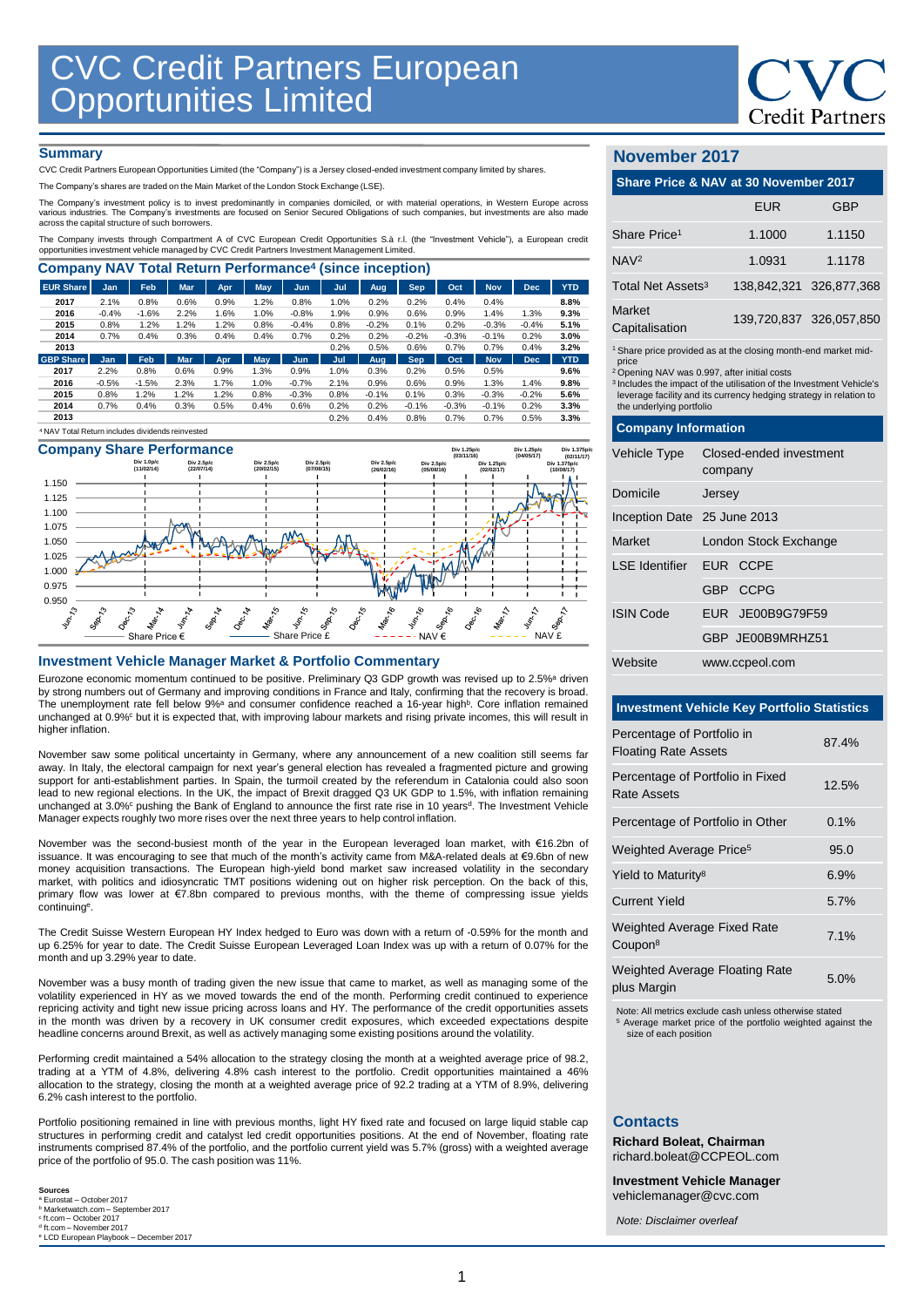

### **Summary**

CVC Credit Partners European Opportunities Limited (the "Company") is a Jersey closed-ended investment company limited by shares.

The Company's shares are traded on the Main Market of the London Stock Exchange (LSE).

The Company's investment policy is to invest predominantly in companies domiciled, or with material operations, in Western Europe across various industries. The Company's investments are focused on Senior Secured Obligations of such companies, but investments are also made across the capital structure of such borrowers.

The Company invests through Compartment A of CVC European Credit Opportunities S.à r.l. (the "Investment Vehicle"), a European credit opportunities investment vehicle managed by CVC Credit Partners Investment Management Limited.

| <b>EUR Share</b> | Jan        | Feb     | Mar        | Apr  | May  | Jun     | Jul  | <b>Aug</b> | Sep        | Oct     | <b>Nov</b> | <b>Dec</b> | <b>YTD</b> |
|------------------|------------|---------|------------|------|------|---------|------|------------|------------|---------|------------|------------|------------|
|                  |            |         |            |      |      |         |      |            |            |         |            |            |            |
| 2017             | 2.1%       | 0.8%    | 0.6%       | 0.9% | 1.2% | 0.8%    | 1.0% | 0.2%       | 0.2%       | 0.4%    | 0.4%       |            | 8.8%       |
| 2016             | $-0.4%$    | $-1.6%$ | 2.2%       | 1.6% | 1.0% | $-0.8%$ | 1.9% | 0.9%       | 0.6%       | 0.9%    | 1.4%       | 1.3%       | 9.3%       |
| 2015             | 0.8%       | 1.2%    | 1.2%       | 1.2% | 0.8% | $-0.4%$ | 0.8% | $-0.2%$    | 0.1%       | 0.2%    | $-0.3%$    | $-0.4%$    | 5.1%       |
| 2014             | 0.7%       | 0.4%    | 0.3%       | 0.4% | 0.4% | 0.7%    | 0.2% | 0.2%       | $-0.2%$    | $-0.3%$ | $-0.1%$    | 0.2%       | 3.0%       |
| 2013             |            |         |            |      |      |         | 0.2% | 0.5%       | 0.6%       | 0.7%    | 0.7%       | 0.4%       | 3.2%       |
| <b>GBP Share</b> | <b>Jan</b> | Feb     | <b>Mar</b> | Apr. | May  | Jun.    | Jul  | Aug        | <b>Sep</b> | Oct     | <b>Nov</b> | Dec        | <b>YTD</b> |
| 2017             | 2.2%       | 0.8%    | 0.6%       | 0.9% | 1.3% | 0.9%    | 1.0% | 0.3%       | 0.2%       | 0.5%    | 0.5%       |            | 9.6%       |
| 2016             | $-0.5%$    | $-1.5%$ | 2.3%       | 1.7% | 1.0% | $-0.7%$ | 2.1% | 0.9%       | 0.6%       | 0.9%    | 1.3%       | 1.4%       | 9.8%       |
| 2015             | 0.8%       | 1.2%    | 1.2%       | 1.2% | 0.8% | $-0.3%$ | 0.8% | $-0.1%$    | 0.1%       | 0.3%    | $-0.3%$    | $-0.2%$    | 5.6%       |
| 2014             | 0.7%       | 0.4%    | 0.3%       | 0.5% | 0.4% | 0.6%    | 0.2% | 0.2%       | $-0.1%$    | $-0.3%$ | $-0.1%$    | 0.2%       | 3.3%       |
| 2013             |            |         |            |      |      |         | 0.2% | 0.4%       | 0.8%       | 0.7%    | 0.7%       | 0.5%       | 3.3%       |





## **Investment Vehicle Manager Market & Portfolio Commentary**

Eurozone economic momentum continued to be positive. Preliminary Q3 GDP growth was revised up to 2.5%<sup>a</sup> driven by strong numbers out of Germany and improving conditions in France and Italy, confirming that the recovery is broad. The unemployment rate fell below 9%<sup>a</sup> and consumer confidence reached a 16-year high<sup>b</sup>. Core inflation remained unchanged at 0.9%° but it is expected that, with improving labour markets and rising private incomes, this will result in higher inflation.

November saw some political uncertainty in Germany, where any announcement of a new coalition still seems far away. In Italy, the electoral campaign for next year's general election has revealed a fragmented picture and growing support for anti-establishment parties. In Spain, the turmoil created by the referendum in Catalonia could also soon lead to new regional elections. In the UK, the impact of Brexit dragged Q3 UK GDP to 1.5%, with inflation remaining unchanged at 3.0%<sup>c</sup> pushing the Bank of England to announce the first rate rise in 10 years<sup>d</sup>. The Investment Vehicle Manager expects roughly two more rises over the next three years to help control inflation.

November was the second-busiest month of the year in the European leveraged loan market, with €16.2bn of issuance. It was encouraging to see that much of the month's activity came from M&A-related deals at €9.6bn of new money acquisition transactions. The European high-yield bond market saw increased volatility in the secondary market, with politics and idiosyncratic TMT positions widening out on higher risk perception. On the back of this, primary flow was lower at €7.8bn compared to previous months, with the theme of compressing issue yields continuing<sup>e</sup> .

The Credit Suisse Western European HY Index hedged to Euro was down with a return of -0.59% for the month and up 6.25% for year to date. The Credit Suisse European Leveraged Loan Index was up with a return of 0.07% for the month and up 3.29% year to date.

November was a busy month of trading given the new issue that came to market, as well as managing some of the volatility experienced in HY as we moved towards the end of the month. Performing credit continued to experience repricing activity and tight new issue pricing across loans and HY. The performance of the credit opportunities assets in the month was driven by a recovery in UK consumer credit exposures, which exceeded expectations despite headline concerns around Brexit, as well as actively managing some existing positions around the volatility.

Performing credit maintained a 54% allocation to the strategy closing the month at a weighted average price of 98.2, trading at a YTM of 4.8%, delivering 4.8% cash interest to the portfolio. Credit opportunities maintained a 46% allocation to the strategy, closing the month at a weighted average price of 92.2 trading at a YTM of 8.9%, delivering 6.2% cash interest to the portfolio.

Portfolio positioning remained in line with previous months, light HY fixed rate and focused on large liquid stable cap structures in performing credit and catalyst led credit opportunities positions. At the end of November, floating rate instruments comprised 87.4% of the portfolio, and the portfolio current yield was 5.7% (gross) with a weighted average price of the portfolio of 95.0. The cash position was 11%.

**Sources** <sup>a</sup> Eurostat – October 2017 <sup>b</sup> Marketwatch.com – September 2017 c ft.com – October 2017 <sup>d</sup> ft.com – November 2017<br><sup>e</sup> LCD European Playbook – December 2017

# **November 2017**

| Share Price & NAV at 30 November 2017                          |            |                         |  |  |
|----------------------------------------------------------------|------------|-------------------------|--|--|
|                                                                | <b>EUR</b> | GBP                     |  |  |
| Share Price <sup>1</sup>                                       | 1.1000     | 1.1150                  |  |  |
| NAV <sup>2</sup>                                               | 1.0931     | 1.1178                  |  |  |
| Total Net Assets <sup>3</sup>                                  |            | 138,842,321 326,877,368 |  |  |
| Market<br>Capitalisation                                       |            | 139,720,837 326,057,850 |  |  |
| 1 Share price provided as at the closing month-end market mid- |            |                         |  |  |

1 Share price provided as at the closing month-end market midprice

<sup>2</sup>Opening NAV was 0.997, after initial costs

<sup>3</sup>Includes the impact of the utilisation of the Investment Vehicle's leverage facility and its currency hedging strategy in relation to the underlying portfolio

| <b>Company Information</b>  |                                    |  |  |  |  |
|-----------------------------|------------------------------------|--|--|--|--|
| Vehicle Type                | Closed-ended investment<br>company |  |  |  |  |
| Domicile                    | Jersey                             |  |  |  |  |
| Inception Date 25 June 2013 |                                    |  |  |  |  |
| Market                      | London Stock Exchange              |  |  |  |  |
| LSF Identifier EUR CCPF     |                                    |  |  |  |  |
|                             | GBP CCPG                           |  |  |  |  |
| <b>ISIN Code</b>            | EUR JE00B9G79F59                   |  |  |  |  |
|                             | GBP JE00B9MRHZ51                   |  |  |  |  |
| Website                     | www.ccpeol.com                     |  |  |  |  |

# **Investment Vehicle Key Portfolio Statistics**

| Percentage of Portfolio in<br><b>Floating Rate Assets</b> | 87.4% |
|-----------------------------------------------------------|-------|
| Percentage of Portfolio in Fixed<br>Rate Assets           | 12.5% |
| Percentage of Portfolio in Other                          | 0.1%  |
| Weighted Average Price <sup>5</sup>                       | 95.0  |
| Yield to Maturity <sup>8</sup>                            | 6.9%  |
| <b>Current Yield</b>                                      | 5.7%  |
| Weighted Average Fixed Rate<br>Coupon <sup>8</sup>        | 7.1%  |
| <b>Weighted Average Floating Rate</b><br>plue Margin      | 5.0%  |

plus Margin 5.0% Note: All metrics exclude cash unless otherwise stated

<sup>5</sup> Average market price of the portfolio weighted against the size of each position

#### **Contacts**

**Richard Boleat, Chairman**  richard.boleat@CCPEOL.com

**Investment Vehicle Manager**

vehiclemanager@cvc.com *Note: Disclaimer overleaf*